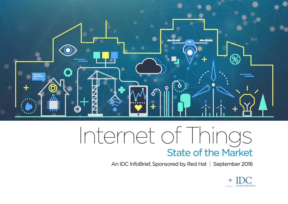

## Internet of Things State of the Market

An IDC InfoBrief, Sponsored by Red Hat | September 2016

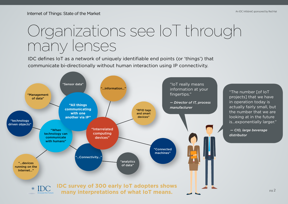## Organizations see IoT through many lenses

IDC defines IoT as a network of uniquely identifiable end points (or 'things') that communicate bi-directionally without human interaction using IP connectivity.

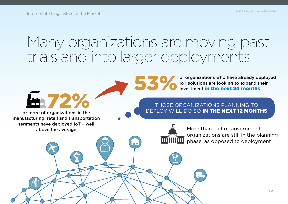## Many organizations are moving past trials and into larger deployments



#### THOSE ORGANIZATIONS PLANNING TO DEPLOY WILL DO SO IN THE NEXT 12 MONTHS

or more of organizations in the manufacturing, retail and transportation segments have deployed IoT – well above the average

m 72%



More than half of government organizations are still in the planning phase, as opposed to deployment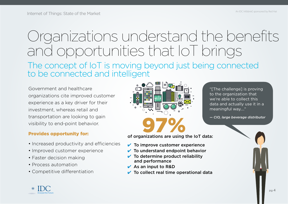#### The concept of IoT is moving beyond just being connected to be connected and intelligent Organizations understand the benefits and opportunities that IoT brings

Government and healthcare organizations cite improved customer experience as a key driver for their investment, whereas retail and transportation are looking to gain visibility to end-point behavior.

#### Provides opportunity for:

- Increased productivity and efficiencies
- Improved customer experience
- Faster decision making
- Process automation
- Competitive differentiation



"[The challenge] is proving to the organization that we're able to collect this data and actually use it in a meaningful way…."

of organizations are using the IoT data:

- $\vee$  To improve customer experience
- $\vee$  To understand endpoint behavior
- $\vee$  To determine product reliability and performance
- $\vee$  As an input to R&D
- $\checkmark$  To collect real time operational data

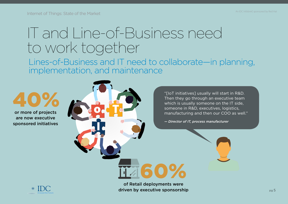#### IT and Line-of-Business need to work together

Lines-of-Business and IT need to collaborate—in planning, implementation, and maintenance

or more of projects 40%

are now executive sponsored initiatives "[IoT initiatives] usually will start in R&D. Then they go through an executive team which is usually someone on the IT side, someone in R&D, executives, logistics, manufacturing and then our COO as well."

*— Director of IT, process manufacturer*



of Retail deployments were driven by executive sponsorship

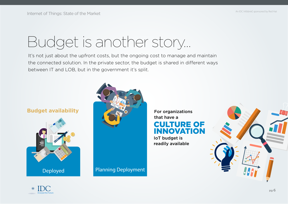# Budget is another story…

It's not just about the upfront costs, but the ongoing cost to manage and maintain the connected solution. In the private sector, the budget is shared in different ways between IT and LOB, but in the government it's split.





that have a CULTURE OF INNOVATION

IoT budget is readily available



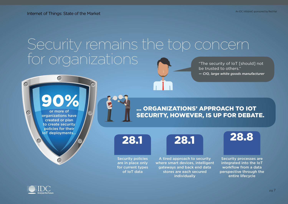#### Security remains the top concern for organizations "The security of IoT [should] not be trusted to others."



... ORGANIZATIONS' APPROACH TO IOT SECURITY, HOWEVER, IS UP FOR DEBATE.

Security policies are in place only for current types of IoT data

A tired approach to security where smart devices, intelligent gateways and back end data stores are each secured individually



*— CIO, large white goods manufacturer*

Security processes are integrated into the IoT workflow from a data perspective through the entire lifecycle



 $\bullet$ 

 $\bullet$ 

pg 7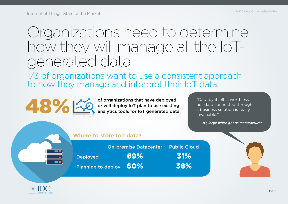#### Organizations need to determine how they will manage all the IoTgenerated data

1/3 of organizations want to use a consistent approach to how they manage and interpret their IoT data.



but data connected through a business solution is really invaluable."

*— CIO, large white goods manufacturer*

| Where to store loT data? |  |
|--------------------------|--|
|                          |  |

|                        | <b>On-premise Datacenter Public Cloud</b> |     |
|------------------------|-------------------------------------------|-----|
| <b>Deployed</b>        | 69%                                       | 31% |
| Planning to deploy 60% |                                           | 38% |

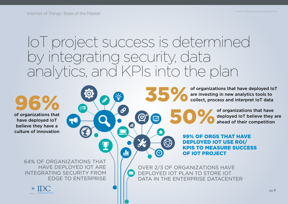### IoT project success is determined by integrating security, data analytics, and KPIs into the plan

X

 $\mathbf{d}$ 

3

of organizations that have deployed IoT believe they have a culture of innovation So the property of the process that<br>have deployed lot believe they have a

64% OF ORGANIZATIONS THAT HAVE DEPLOYED IOT ARE INTEGRATING SECURITY FROM EDGE TO ENTERPRISE



of organizations that have deployed IoT are investing in new analytics tools to<br>35% collect, process and interpret IoT data

> of organizations that have deployed IoT believe they are ahead of their competition

99% OF ORGS THAT HAVE DEPLOYED IOT USE ROI/ KPIS TO MEASURE SUCCESS OF IOT PROJECT

OVER 2/3 OF ORGANIZATIONS HAVE DEPLOYED IOT PLAN TO STORE IOT DATA IN THE ENTERPRISE DATACENTER